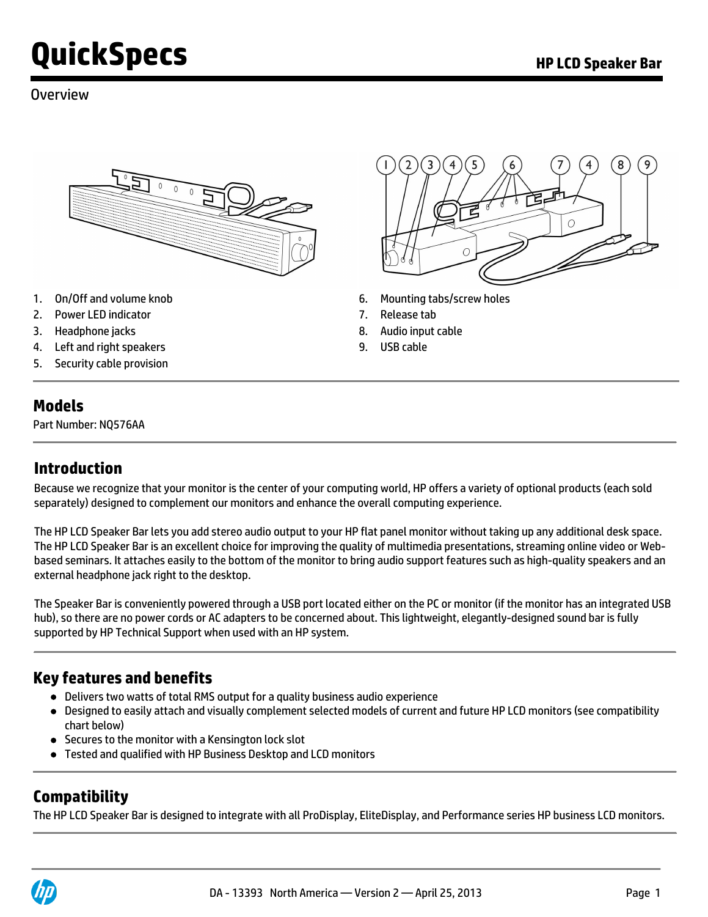#### Overview



- 
- 2. Power LED indicator 7. Release tab
- 3. Headphone jacks 8. Audio input cable
- 4. Left and right speakers 9. USB cable
- 5. Security cable provision

#### **Models**

Part Number: NQ576AA

## **Introduction**

Because we recognize that your monitor is the center of your computing world, HP offers a variety of optional products (each sold separately) designed to complement our monitors and enhance the overall computing experience.

The HP LCD Speaker Bar lets you add stereo audio output to your HP flat panel monitor without taking up any additional desk space. The HP LCD Speaker Bar is an excellent choice for improving the quality of multimedia presentations, streaming online video or Webbased seminars. It attaches easily to the bottom of the monitor to bring audio support features such as high-quality speakers and an external headphone jack right to the desktop.

The Speaker Bar is conveniently powered through a USB port located either on the PC or monitor (if the monitor has an integrated USB hub), so there are no power cords or AC adapters to be concerned about. This lightweight, elegantly-designed sound bar is fully supported by HP Technical Support when used with an HP system.

#### **Key features and benefits**

- Delivers two watts of total RMS output for a quality business audio experience
- Designed to easily attach and visually complement selected models of current and future HP LCD monitors (see compatibility chart below)
- Secures to the monitor with a Kensington lock slot
- Tested and qualified with HP Business Desktop and LCD monitors

#### **Compatibility**

The HP LCD Speaker Bar is designed to integrate with all ProDisplay, EliteDisplay, and Performance series HP business LCD monitors.





- 1. On/Off and volume knob 6. Mounting tabs/screw holes
	-
	-
	-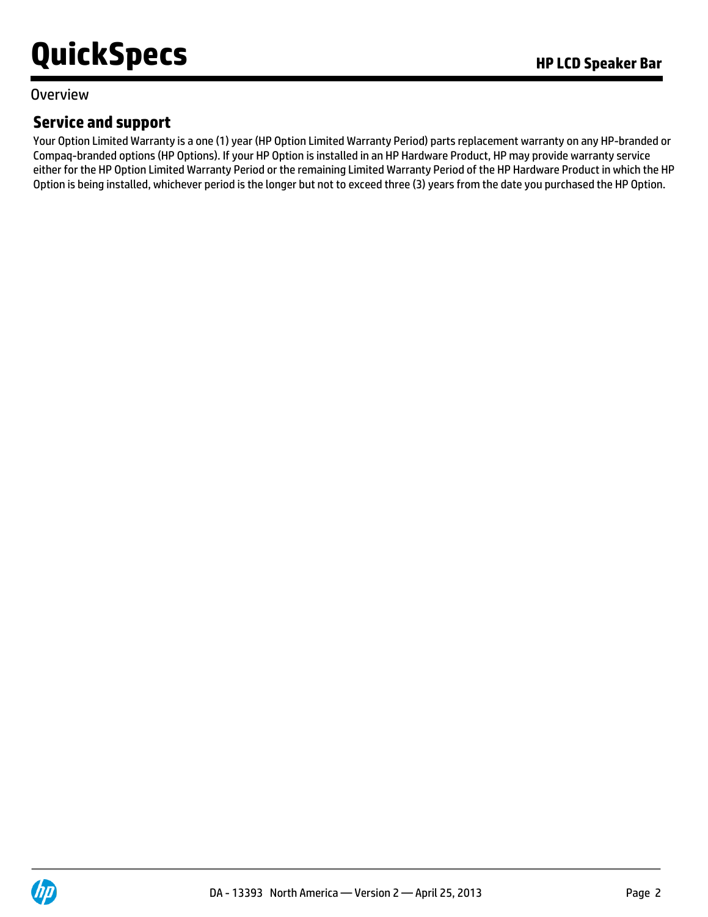#### Overview

## **Service and support**

Your Option Limited Warranty is a one (1) year (HP Option Limited Warranty Period) parts replacement warranty on any HP-branded or Compaq-branded options (HP Options). If your HP Option is installed in an HP Hardware Product, HP may provide warranty service either for the HP Option Limited Warranty Period or the remaining Limited Warranty Period of the HP Hardware Product in which the HP Option is being installed, whichever period is the longer but not to exceed three (3) years from the date you purchased the HP Option.